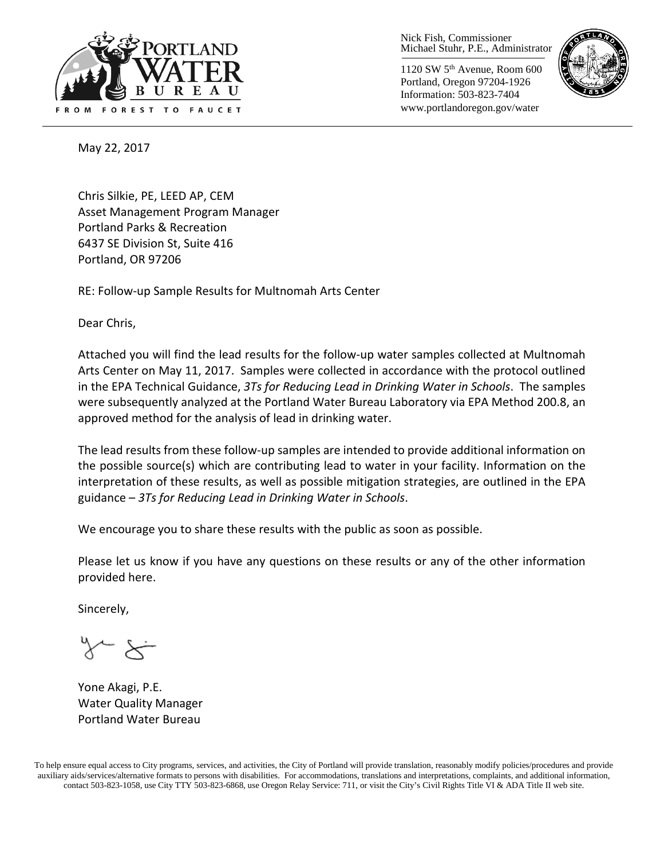

Nick Fish, Commissioner Michael Stuhr, P.E., Administrator

1120 SW 5th Avenue, Room 600 Portland, Oregon 97204-1926 Information: 503-823-7404 www.portlandoregon.gov/water



May 22, 2017

Chris Silkie, PE, LEED AP, CEM Asset Management Program Manager Portland Parks & Recreation 6437 SE Division St, Suite 416 Portland, OR 97206

RE: Follow-up Sample Results for Multnomah Arts Center

Dear Chris,

Attached you will find the lead results for the follow-up water samples collected at Multnomah Arts Center on May 11, 2017. Samples were collected in accordance with the protocol outlined in the EPA Technical Guidance, *3Ts for Reducing Lead in Drinking Water in Schools*. The samples were subsequently analyzed at the Portland Water Bureau Laboratory via EPA Method 200.8, an approved method for the analysis of lead in drinking water.

The lead results from these follow-up samples are intended to provide additional information on the possible source(s) which are contributing lead to water in your facility. Information on the interpretation of these results, as well as possible mitigation strategies, are outlined in the EPA guidance – *3Ts for Reducing Lead in Drinking Water in Schools*.

We encourage you to share these results with the public as soon as possible.

Please let us know if you have any questions on these results or any of the other information provided here.

Sincerely,

Yone Akagi, P.E. Water Quality Manager Portland Water Bureau

To help ensure equal access to City programs, services, and activities, the City of Portland will provide translation, reasonably modify policies/procedures and provide auxiliary aids/services/alternative formats to persons with disabilities. For accommodations, translations and interpretations, complaints, and additional information, contact 503-823-1058, use City TTY 503-823-6868, use Oregon Relay Service: 711, or visi[t the City's Civil Rights Title VI & ADA Title II web site.](http://www.portlandoregon.gov/oehr/66458)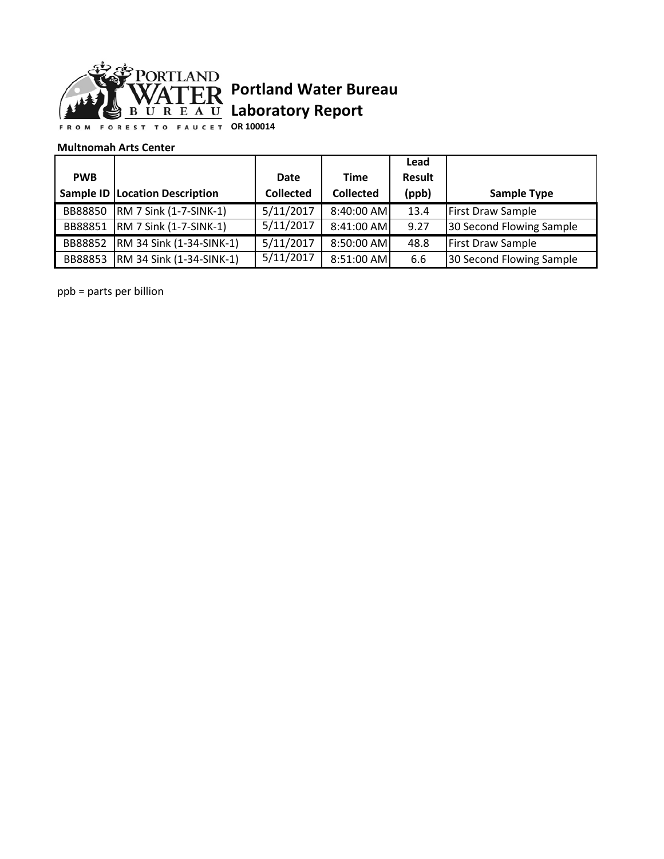

# **Portland Water Bureau Laboratory Report**

**OR 100014**

#### **Multnomah Arts Center**

|            |                                  |                  |                  | Lead   |                          |
|------------|----------------------------------|------------------|------------------|--------|--------------------------|
| <b>PWB</b> |                                  | <b>Date</b>      | <b>Time</b>      | Result |                          |
|            | Sample ID   Location Description | <b>Collected</b> | <b>Collected</b> | (ppb)  | <b>Sample Type</b>       |
| BB88850    | <b>RM 7 Sink (1-7-SINK-1)</b>    | 5/11/2017        | 8:40:00 AM       | 13.4   | <b>First Draw Sample</b> |
|            | BB88851   RM 7 Sink (1-7-SINK-1) | 5/11/2017        | 8:41:00 AM       | 9.27   | 30 Second Flowing Sample |
| BB88852    | RM 34 Sink (1-34-SINK-1)         | 5/11/2017        | 8:50:00 AM       | 48.8   | <b>First Draw Sample</b> |
| BB88853    | <b>RM 34 Sink (1-34-SINK-1)</b>  | 5/11/2017        | 8:51:00 AM       | 6.6    | 30 Second Flowing Sample |

ppb = parts per billion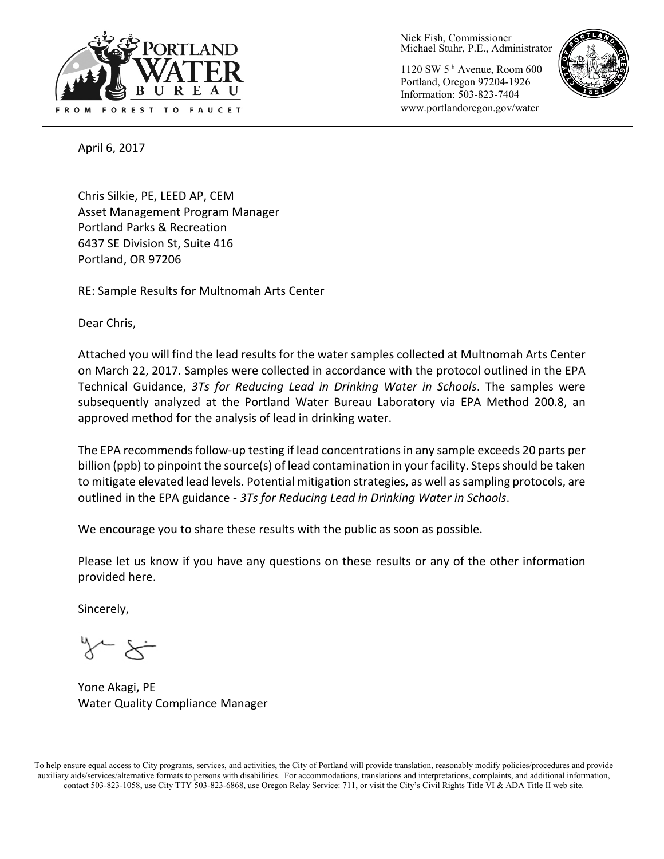

Nick Fish, Commissioner Michael Stuhr, P.E., Administrator

1120 SW 5th Avenue, Room 600 Portland, Oregon 97204-1926 Information: 503-823-7404 www.portlandoregon.gov/water



April 6, 2017

Chris Silkie, PE, LEED AP, CEM Asset Management Program Manager Portland Parks & Recreation 6437 SE Division St, Suite 416 Portland, OR 97206

RE: Sample Results for Multnomah Arts Center

Dear Chris,

Attached you will find the lead results for the water samples collected at Multnomah Arts Center on March 22, 2017. Samples were collected in accordance with the protocol outlined in the EPA Technical Guidance, *3Ts for Reducing Lead in Drinking Water in Schools*. The samples were subsequently analyzed at the Portland Water Bureau Laboratory via EPA Method 200.8, an approved method for the analysis of lead in drinking water.

The EPA recommends follow-up testing if lead concentrations in any sample exceeds 20 parts per billion (ppb) to pinpoint the source(s) of lead contamination in your facility. Steps should be taken to mitigate elevated lead levels. Potential mitigation strategies, as well as sampling protocols, are outlined in the EPA guidance - *3Ts for Reducing Lead in Drinking Water in Schools*.

We encourage you to share these results with the public as soon as possible.

Please let us know if you have any questions on these results or any of the other information provided here.

Sincerely,

Yone Akagi, PE Water Quality Compliance Manager

To help ensure equal access to City programs, services, and activities, the City of Portland will provide translation, reasonably modify policies/procedures and provide auxiliary aids/services/alternative formats to persons with disabilities. For accommodations, translations and interpretations, complaints, and additional information, contact 503-823-1058, use City TTY 503-823-6868, use Oregon Relay Service: 711, or visi[t the City's Civil Rights Title VI & ADA Title II web site.](http://www.portlandoregon.gov/oehr/66458)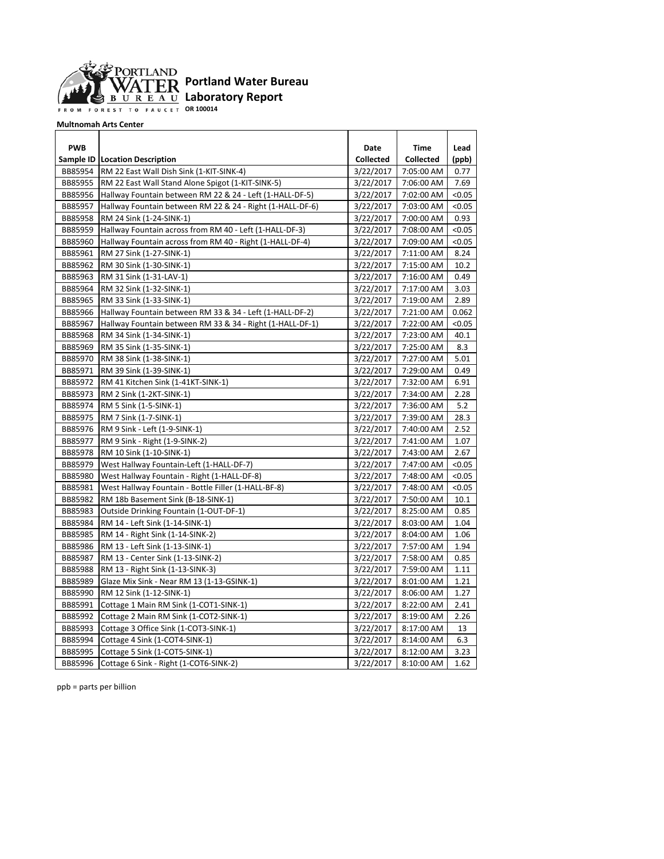

**OR 100014**

**Multnomah Arts Center**

| <b>PWB</b> |                                                           | Date             | Time             | Lead   |
|------------|-----------------------------------------------------------|------------------|------------------|--------|
|            | <b>Sample ID   Location Description</b>                   | <b>Collected</b> | <b>Collected</b> | (ppb)  |
| BB85954    | RM 22 East Wall Dish Sink (1-KIT-SINK-4)                  | 3/22/2017        | 7:05:00 AM       | 0.77   |
| BB85955    | RM 22 East Wall Stand Alone Spigot (1-KIT-SINK-5)         | 3/22/2017        | 7:06:00 AM       | 7.69   |
| BB85956    | Hallway Fountain between RM 22 & 24 - Left (1-HALL-DF-5)  | 3/22/2017        | 7:02:00 AM       | < 0.05 |
| BB85957    | Hallway Fountain between RM 22 & 24 - Right (1-HALL-DF-6) | 3/22/2017        | 7:03:00 AM       | < 0.05 |
| BB85958    | RM 24 Sink (1-24-SINK-1)                                  | 3/22/2017        | 7:00:00 AM       | 0.93   |
| BB85959    | Hallway Fountain across from RM 40 - Left (1-HALL-DF-3)   | 3/22/2017        | 7:08:00 AM       | < 0.05 |
| BB85960    | Hallway Fountain across from RM 40 - Right (1-HALL-DF-4)  | 3/22/2017        | 7:09:00 AM       | < 0.05 |
| BB85961    | RM 27 Sink (1-27-SINK-1)                                  | 3/22/2017        | 7:11:00 AM       | 8.24   |
| BB85962    | RM 30 Sink (1-30-SINK-1)                                  | 3/22/2017        | 7:15:00 AM       | 10.2   |
| BB85963    | RM 31 Sink (1-31-LAV-1)                                   | 3/22/2017        | 7:16:00 AM       | 0.49   |
| BB85964    | RM 32 Sink (1-32-SINK-1)                                  | 3/22/2017        | 7:17:00 AM       | 3.03   |
| BB85965    | RM 33 Sink (1-33-SINK-1)                                  | 3/22/2017        | 7:19:00 AM       | 2.89   |
| BB85966    | Hallway Fountain between RM 33 & 34 - Left (1-HALL-DF-2)  | 3/22/2017        | 7:21:00 AM       | 0.062  |
| BB85967    | Hallway Fountain between RM 33 & 34 - Right (1-HALL-DF-1) | 3/22/2017        | 7:22:00 AM       | < 0.05 |
| BB85968    | RM 34 Sink (1-34-SINK-1)                                  | 3/22/2017        | 7:23:00 AM       | 40.1   |
| BB85969    | RM 35 Sink (1-35-SINK-1)                                  | 3/22/2017        | 7:25:00 AM       | 8.3    |
| BB85970    | RM 38 Sink (1-38-SINK-1)                                  | 3/22/2017        | 7:27:00 AM       | 5.01   |
| BB85971    | RM 39 Sink (1-39-SINK-1)                                  | 3/22/2017        | 7:29:00 AM       | 0.49   |
| BB85972    | RM 41 Kitchen Sink (1-41KT-SINK-1)                        | 3/22/2017        | 7:32:00 AM       | 6.91   |
| BB85973    | RM 2 Sink (1-2KT-SINK-1)                                  | 3/22/2017        | 7:34:00 AM       | 2.28   |
| BB85974    | RM 5 Sink (1-5-SINK-1)                                    | 3/22/2017        | 7:36:00 AM       | 5.2    |
| BB85975    | RM 7 Sink (1-7-SINK-1)                                    | 3/22/2017        | 7:39:00 AM       | 28.3   |
| BB85976    | RM 9 Sink - Left (1-9-SINK-1)                             | 3/22/2017        | 7:40:00 AM       | 2.52   |
| BB85977    | RM 9 Sink - Right (1-9-SINK-2)                            | 3/22/2017        | 7:41:00 AM       | 1.07   |
| BB85978    | RM 10 Sink (1-10-SINK-1)                                  | 3/22/2017        | 7:43:00 AM       | 2.67   |
| BB85979    | West Hallway Fountain-Left (1-HALL-DF-7)                  | 3/22/2017        | 7:47:00 AM       | < 0.05 |
| BB85980    | West Hallway Fountain - Right (1-HALL-DF-8)               | 3/22/2017        | 7:48:00 AM       | < 0.05 |
| BB85981    | West Hallway Fountain - Bottle Filler (1-HALL-BF-8)       | 3/22/2017        | 7:48:00 AM       | < 0.05 |
| BB85982    | RM 18b Basement Sink (B-18-SINK-1)                        | 3/22/2017        | 7:50:00 AM       | 10.1   |
| BB85983    | Outside Drinking Fountain (1-OUT-DF-1)                    | 3/22/2017        | 8:25:00 AM       | 0.85   |
| BB85984    | RM 14 - Left Sink (1-14-SINK-1)                           | 3/22/2017        | 8:03:00 AM       | 1.04   |
| BB85985    | RM 14 - Right Sink (1-14-SINK-2)                          | 3/22/2017        | 8:04:00 AM       | 1.06   |
| BB85986    | RM 13 - Left Sink (1-13-SINK-1)                           | 3/22/2017        | 7:57:00 AM       | 1.94   |
| BB85987    | RM 13 - Center Sink (1-13-SINK-2)                         | 3/22/2017        | 7:58:00 AM       | 0.85   |
| BB85988    | RM 13 - Right Sink (1-13-SINK-3)                          | 3/22/2017        | 7:59:00 AM       | 1.11   |
| BB85989    | Glaze Mix Sink - Near RM 13 (1-13-GSINK-1)                | 3/22/2017        | 8:01:00 AM       | 1.21   |
| BB85990    | RM 12 Sink (1-12-SINK-1)                                  | 3/22/2017        | 8:06:00 AM       | 1.27   |
| BB85991    | Cottage 1 Main RM Sink (1-COT1-SINK-1)                    | 3/22/2017        | 8:22:00 AM       | 2.41   |
| BB85992    | Cottage 2 Main RM Sink (1-COT2-SINK-1)                    | 3/22/2017        | 8:19:00 AM       | 2.26   |
| BB85993    | Cottage 3 Office Sink (1-COT3-SINK-1)                     | 3/22/2017        | 8:17:00 AM       | 13     |
| BB85994    | Cottage 4 Sink (1-COT4-SINK-1)                            | 3/22/2017        | 8:14:00 AM       | 6.3    |
| BB85995    | Cottage 5 Sink (1-COT5-SINK-1)                            | 3/22/2017        | 8:12:00 AM       | 3.23   |
| BB85996    | Cottage 6 Sink - Right (1-COT6-SINK-2)                    | 3/22/2017        | 8:10:00 AM       | 1.62   |

ppb = parts per billion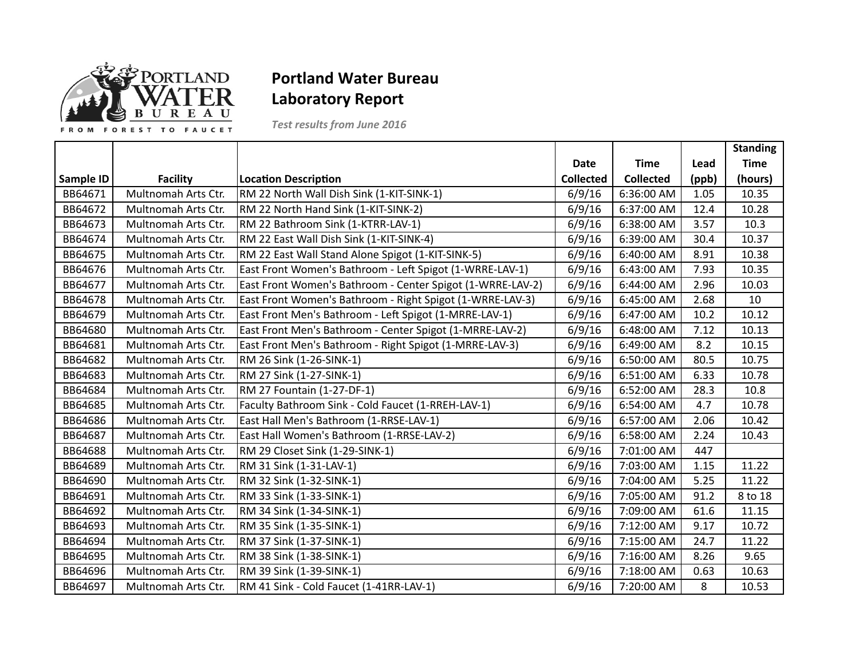

## **Portland Water Bureau Laboratory'Report**

*Test results from June 2016*

|           |                     |                                                            |                  |                  |       | <b>Standing</b> |
|-----------|---------------------|------------------------------------------------------------|------------------|------------------|-------|-----------------|
|           |                     |                                                            | <b>Date</b>      | <b>Time</b>      | Lead  | <b>Time</b>     |
| Sample ID | <b>Facility</b>     | <b>Location Description</b>                                | <b>Collected</b> | <b>Collected</b> | (ppb) | (hours)         |
| BB64671   | Multnomah Arts Ctr. | RM 22 North Wall Dish Sink (1-KIT-SINK-1)                  | 6/9/16           | 6:36:00 AM       | 1.05  | 10.35           |
| BB64672   | Multnomah Arts Ctr. | RM 22 North Hand Sink (1-KIT-SINK-2)                       | 6/9/16           | 6:37:00 AM       | 12.4  | 10.28           |
| BB64673   | Multnomah Arts Ctr. | RM 22 Bathroom Sink (1-KTRR-LAV-1)                         | 6/9/16           | 6:38:00 AM       | 3.57  | 10.3            |
| BB64674   | Multnomah Arts Ctr. | RM 22 East Wall Dish Sink (1-KIT-SINK-4)                   | 6/9/16           | 6:39:00 AM       | 30.4  | 10.37           |
| BB64675   | Multnomah Arts Ctr. | RM 22 East Wall Stand Alone Spigot (1-KIT-SINK-5)          | 6/9/16           | 6:40:00 AM       | 8.91  | 10.38           |
| BB64676   | Multnomah Arts Ctr. | East Front Women's Bathroom - Left Spigot (1-WRRE-LAV-1)   | 6/9/16           | 6:43:00 AM       | 7.93  | 10.35           |
| BB64677   | Multnomah Arts Ctr. | East Front Women's Bathroom - Center Spigot (1-WRRE-LAV-2) | 6/9/16           | 6:44:00 AM       | 2.96  | 10.03           |
| BB64678   | Multnomah Arts Ctr. | East Front Women's Bathroom - Right Spigot (1-WRRE-LAV-3)  | 6/9/16           | 6:45:00 AM       | 2.68  | 10              |
| BB64679   | Multnomah Arts Ctr. | East Front Men's Bathroom - Left Spigot (1-MRRE-LAV-1)     | 6/9/16           | 6:47:00 AM       | 10.2  | 10.12           |
| BB64680   | Multnomah Arts Ctr. | East Front Men's Bathroom - Center Spigot (1-MRRE-LAV-2)   | 6/9/16           | 6:48:00 AM       | 7.12  | 10.13           |
| BB64681   | Multnomah Arts Ctr. | East Front Men's Bathroom - Right Spigot (1-MRRE-LAV-3)    | 6/9/16           | 6:49:00 AM       | 8.2   | 10.15           |
| BB64682   | Multnomah Arts Ctr. | RM 26 Sink (1-26-SINK-1)                                   | 6/9/16           | 6:50:00 AM       | 80.5  | 10.75           |
| BB64683   | Multnomah Arts Ctr. | RM 27 Sink (1-27-SINK-1)                                   | 6/9/16           | 6:51:00 AM       | 6.33  | 10.78           |
| BB64684   | Multnomah Arts Ctr. | RM 27 Fountain (1-27-DF-1)                                 | 6/9/16           | 6:52:00 AM       | 28.3  | 10.8            |
| BB64685   | Multnomah Arts Ctr. | Faculty Bathroom Sink - Cold Faucet (1-RREH-LAV-1)         | 6/9/16           | 6:54:00 AM       | 4.7   | 10.78           |
| BB64686   | Multnomah Arts Ctr. | East Hall Men's Bathroom (1-RRSE-LAV-1)                    | 6/9/16           | 6:57:00 AM       | 2.06  | 10.42           |
| BB64687   | Multnomah Arts Ctr. | East Hall Women's Bathroom (1-RRSE-LAV-2)                  | 6/9/16           | 6:58:00 AM       | 2.24  | 10.43           |
| BB64688   | Multnomah Arts Ctr. | RM 29 Closet Sink (1-29-SINK-1)                            | 6/9/16           | 7:01:00 AM       | 447   |                 |
| BB64689   | Multnomah Arts Ctr. | RM 31 Sink (1-31-LAV-1)                                    | 6/9/16           | 7:03:00 AM       | 1.15  | 11.22           |
| BB64690   | Multnomah Arts Ctr. | RM 32 Sink (1-32-SINK-1)                                   | 6/9/16           | 7:04:00 AM       | 5.25  | 11.22           |
| BB64691   | Multnomah Arts Ctr. | RM 33 Sink (1-33-SINK-1)                                   | 6/9/16           | 7:05:00 AM       | 91.2  | 8 to 18         |
| BB64692   | Multnomah Arts Ctr. | RM 34 Sink (1-34-SINK-1)                                   | 6/9/16           | 7:09:00 AM       | 61.6  | 11.15           |
| BB64693   | Multnomah Arts Ctr. | RM 35 Sink (1-35-SINK-1)                                   | 6/9/16           | 7:12:00 AM       | 9.17  | 10.72           |
| BB64694   | Multnomah Arts Ctr. | RM 37 Sink (1-37-SINK-1)                                   | 6/9/16           | 7:15:00 AM       | 24.7  | 11.22           |
| BB64695   | Multnomah Arts Ctr. | RM 38 Sink (1-38-SINK-1)                                   | 6/9/16           | 7:16:00 AM       | 8.26  | 9.65            |
| BB64696   | Multnomah Arts Ctr. | RM 39 Sink (1-39-SINK-1)                                   | 6/9/16           | 7:18:00 AM       | 0.63  | 10.63           |
| BB64697   | Multnomah Arts Ctr. | RM 41 Sink - Cold Faucet (1-41RR-LAV-1)                    | 6/9/16           | 7:20:00 AM       | 8     | 10.53           |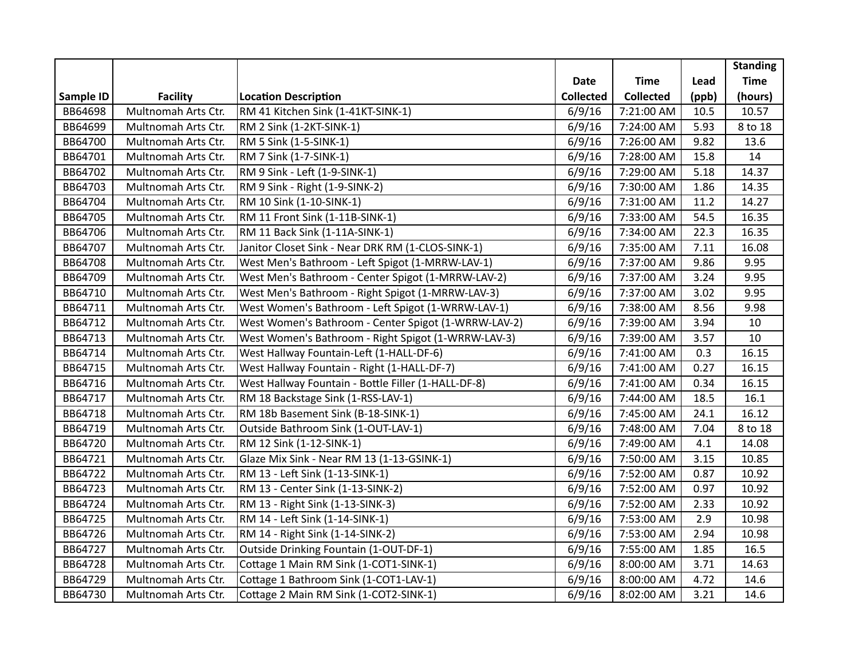|           |                     |                                                      |                  |                  |       | <b>Standing</b> |
|-----------|---------------------|------------------------------------------------------|------------------|------------------|-------|-----------------|
|           |                     |                                                      | <b>Date</b>      | <b>Time</b>      | Lead  | <b>Time</b>     |
| Sample ID | <b>Facility</b>     | <b>Location Description</b>                          | <b>Collected</b> | <b>Collected</b> | (ppb) | (hours)         |
| BB64698   | Multnomah Arts Ctr. | RM 41 Kitchen Sink (1-41KT-SINK-1)                   | 6/9/16           | 7:21:00 AM       | 10.5  | 10.57           |
| BB64699   | Multnomah Arts Ctr. | RM 2 Sink (1-2KT-SINK-1)                             | 6/9/16           | 7:24:00 AM       | 5.93  | 8 to 18         |
| BB64700   | Multnomah Arts Ctr. | RM 5 Sink (1-5-SINK-1)                               | 6/9/16           | 7:26:00 AM       | 9.82  | 13.6            |
| BB64701   | Multnomah Arts Ctr. | RM 7 Sink (1-7-SINK-1)                               | 6/9/16           | 7:28:00 AM       | 15.8  | 14              |
| BB64702   | Multnomah Arts Ctr. | RM 9 Sink - Left (1-9-SINK-1)                        | 6/9/16           | 7:29:00 AM       | 5.18  | 14.37           |
| BB64703   | Multnomah Arts Ctr. | RM 9 Sink - Right (1-9-SINK-2)                       | 6/9/16           | 7:30:00 AM       | 1.86  | 14.35           |
| BB64704   | Multnomah Arts Ctr. | RM 10 Sink (1-10-SINK-1)                             | 6/9/16           | 7:31:00 AM       | 11.2  | 14.27           |
| BB64705   | Multnomah Arts Ctr. | RM 11 Front Sink (1-11B-SINK-1)                      | 6/9/16           | 7:33:00 AM       | 54.5  | 16.35           |
| BB64706   | Multnomah Arts Ctr. | RM 11 Back Sink (1-11A-SINK-1)                       | 6/9/16           | 7:34:00 AM       | 22.3  | 16.35           |
| BB64707   | Multnomah Arts Ctr. | Janitor Closet Sink - Near DRK RM (1-CLOS-SINK-1)    | 6/9/16           | 7:35:00 AM       | 7.11  | 16.08           |
| BB64708   | Multnomah Arts Ctr. | West Men's Bathroom - Left Spigot (1-MRRW-LAV-1)     | 6/9/16           | 7:37:00 AM       | 9.86  | 9.95            |
| BB64709   | Multnomah Arts Ctr. | West Men's Bathroom - Center Spigot (1-MRRW-LAV-2)   | 6/9/16           | 7:37:00 AM       | 3.24  | 9.95            |
| BB64710   | Multnomah Arts Ctr. | West Men's Bathroom - Right Spigot (1-MRRW-LAV-3)    | 6/9/16           | 7:37:00 AM       | 3.02  | 9.95            |
| BB64711   | Multnomah Arts Ctr. | West Women's Bathroom - Left Spigot (1-WRRW-LAV-1)   | 6/9/16           | 7:38:00 AM       | 8.56  | 9.98            |
| BB64712   | Multnomah Arts Ctr. | West Women's Bathroom - Center Spigot (1-WRRW-LAV-2) | 6/9/16           | 7:39:00 AM       | 3.94  | 10              |
| BB64713   | Multnomah Arts Ctr. | West Women's Bathroom - Right Spigot (1-WRRW-LAV-3)  | 6/9/16           | 7:39:00 AM       | 3.57  | 10              |
| BB64714   | Multnomah Arts Ctr. | West Hallway Fountain-Left (1-HALL-DF-6)             | 6/9/16           | 7:41:00 AM       | 0.3   | 16.15           |
| BB64715   | Multnomah Arts Ctr. | West Hallway Fountain - Right (1-HALL-DF-7)          | 6/9/16           | 7:41:00 AM       | 0.27  | 16.15           |
| BB64716   | Multnomah Arts Ctr. | West Hallway Fountain - Bottle Filler (1-HALL-DF-8)  | 6/9/16           | 7:41:00 AM       | 0.34  | 16.15           |
| BB64717   | Multnomah Arts Ctr. | RM 18 Backstage Sink (1-RSS-LAV-1)                   | 6/9/16           | 7:44:00 AM       | 18.5  | 16.1            |
| BB64718   | Multnomah Arts Ctr. | RM 18b Basement Sink (B-18-SINK-1)                   | 6/9/16           | 7:45:00 AM       | 24.1  | 16.12           |
| BB64719   | Multnomah Arts Ctr. | Outside Bathroom Sink (1-OUT-LAV-1)                  | 6/9/16           | 7:48:00 AM       | 7.04  | 8 to 18         |
| BB64720   | Multnomah Arts Ctr. | RM 12 Sink (1-12-SINK-1)                             | 6/9/16           | 7:49:00 AM       | 4.1   | 14.08           |
| BB64721   | Multnomah Arts Ctr. | Glaze Mix Sink - Near RM 13 (1-13-GSINK-1)           | 6/9/16           | 7:50:00 AM       | 3.15  | 10.85           |
| BB64722   | Multnomah Arts Ctr. | RM 13 - Left Sink (1-13-SINK-1)                      | 6/9/16           | 7:52:00 AM       | 0.87  | 10.92           |
| BB64723   | Multnomah Arts Ctr. | RM 13 - Center Sink (1-13-SINK-2)                    | 6/9/16           | 7:52:00 AM       | 0.97  | 10.92           |
| BB64724   | Multnomah Arts Ctr. | RM 13 - Right Sink (1-13-SINK-3)                     | 6/9/16           | 7:52:00 AM       | 2.33  | 10.92           |
| BB64725   | Multnomah Arts Ctr. | RM 14 - Left Sink (1-14-SINK-1)                      | 6/9/16           | 7:53:00 AM       | 2.9   | 10.98           |
| BB64726   | Multnomah Arts Ctr. | RM 14 - Right Sink (1-14-SINK-2)                     | 6/9/16           | 7:53:00 AM       | 2.94  | 10.98           |
| BB64727   | Multnomah Arts Ctr. | Outside Drinking Fountain (1-OUT-DF-1)               | 6/9/16           | 7:55:00 AM       | 1.85  | 16.5            |
| BB64728   | Multnomah Arts Ctr. | Cottage 1 Main RM Sink (1-COT1-SINK-1)               | 6/9/16           | 8:00:00 AM       | 3.71  | 14.63           |
| BB64729   | Multnomah Arts Ctr. | Cottage 1 Bathroom Sink (1-COT1-LAV-1)               | 6/9/16           | 8:00:00 AM       | 4.72  | 14.6            |
| BB64730   | Multnomah Arts Ctr. | Cottage 2 Main RM Sink (1-COT2-SINK-1)               | 6/9/16           | 8:02:00 AM       | 3.21  | 14.6            |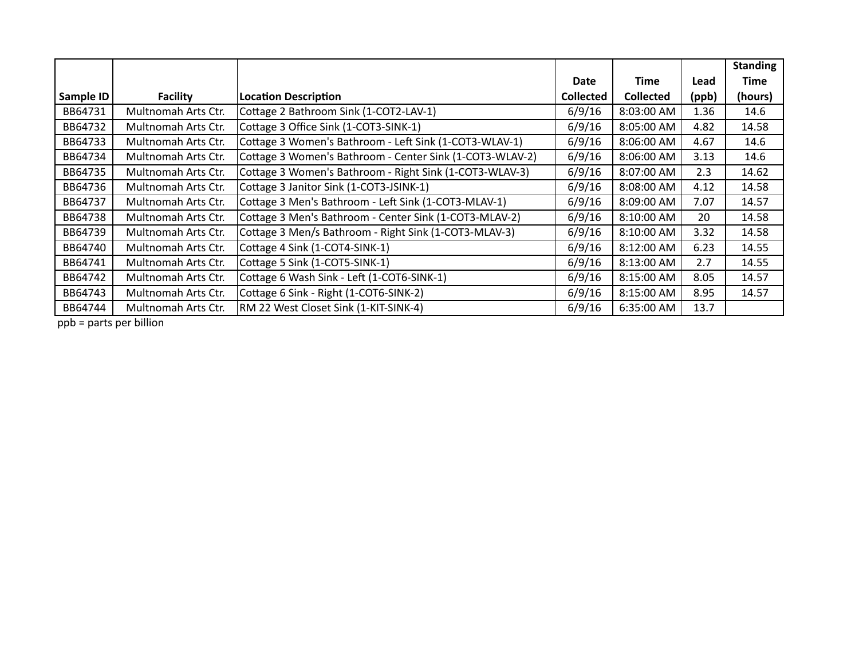|           |                     |                                                          |                  |                  |       | <b>Standing</b> |
|-----------|---------------------|----------------------------------------------------------|------------------|------------------|-------|-----------------|
|           |                     |                                                          | <b>Date</b>      | <b>Time</b>      | Lead  | Time            |
| Sample ID | <b>Facility</b>     | <b>Location Description</b>                              | <b>Collected</b> | <b>Collected</b> | (ppb) | (hours)         |
| BB64731   | Multnomah Arts Ctr. | Cottage 2 Bathroom Sink (1-COT2-LAV-1)                   | 6/9/16           | 8:03:00 AM       | 1.36  | 14.6            |
| BB64732   | Multnomah Arts Ctr. | Cottage 3 Office Sink (1-COT3-SINK-1)                    | 6/9/16           | 8:05:00 AM       | 4.82  | 14.58           |
| BB64733   | Multnomah Arts Ctr. | Cottage 3 Women's Bathroom - Left Sink (1-COT3-WLAV-1)   | 6/9/16           | 8:06:00 AM       | 4.67  | 14.6            |
| BB64734   | Multnomah Arts Ctr. | Cottage 3 Women's Bathroom - Center Sink (1-COT3-WLAV-2) | 6/9/16           | 8:06:00 AM       | 3.13  | 14.6            |
| BB64735   | Multnomah Arts Ctr. | Cottage 3 Women's Bathroom - Right Sink (1-COT3-WLAV-3)  | 6/9/16           | 8:07:00 AM       | 2.3   | 14.62           |
| BB64736   | Multnomah Arts Ctr. | Cottage 3 Janitor Sink (1-COT3-JSINK-1)                  | 6/9/16           | 8:08:00 AM       | 4.12  | 14.58           |
| BB64737   | Multnomah Arts Ctr. | Cottage 3 Men's Bathroom - Left Sink (1-COT3-MLAV-1)     | 6/9/16           | 8:09:00 AM       | 7.07  | 14.57           |
| BB64738   | Multnomah Arts Ctr. | Cottage 3 Men's Bathroom - Center Sink (1-COT3-MLAV-2)   | 6/9/16           | 8:10:00 AM       | 20    | 14.58           |
| BB64739   | Multnomah Arts Ctr. | Cottage 3 Men/s Bathroom - Right Sink (1-COT3-MLAV-3)    | 6/9/16           | 8:10:00 AM       | 3.32  | 14.58           |
| BB64740   | Multnomah Arts Ctr. | Cottage 4 Sink (1-COT4-SINK-1)                           | 6/9/16           | 8:12:00 AM       | 6.23  | 14.55           |
| BB64741   | Multnomah Arts Ctr. | Cottage 5 Sink (1-COT5-SINK-1)                           | 6/9/16           | 8:13:00 AM       | 2.7   | 14.55           |
| BB64742   | Multnomah Arts Ctr. | Cottage 6 Wash Sink - Left (1-COT6-SINK-1)               | 6/9/16           | 8:15:00 AM       | 8.05  | 14.57           |
| BB64743   | Multnomah Arts Ctr. | Cottage 6 Sink - Right (1-COT6-SINK-2)                   | 6/9/16           | 8:15:00 AM       | 8.95  | 14.57           |
| BB64744   | Multnomah Arts Ctr. | RM 22 West Closet Sink (1-KIT-SINK-4)                    | 6/9/16           | 6:35:00 AM       | 13.7  |                 |

 $p$ ppb = parts per billion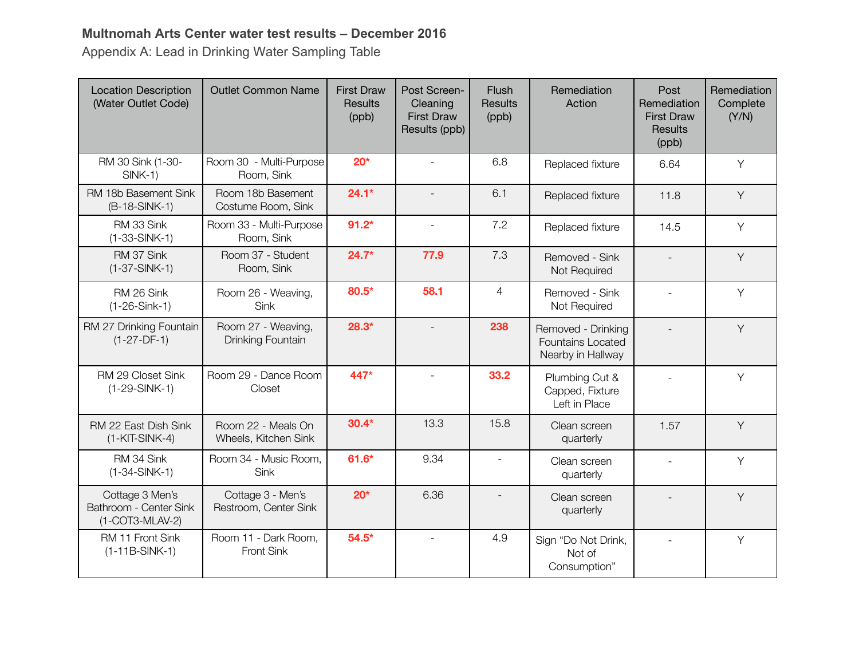### **Multnomah Arts Center water test results – December 2016**

Appendix A: Lead in Drinking Water Sampling Table

| <b>Location Description</b><br>(Water Outlet Code)           | <b>Outlet Common Name</b>                  | <b>First Draw</b><br><b>Results</b><br>(ppb) | Post Screen-<br>Cleaning<br><b>First Draw</b><br>Results (ppb) | Flush<br><b>Results</b><br>(ppb) | Remediation<br>Action                                               | Post<br>Remediation<br><b>First Draw</b><br><b>Results</b><br>(ppb) | Remediation<br>Complete<br>(Y/N) |
|--------------------------------------------------------------|--------------------------------------------|----------------------------------------------|----------------------------------------------------------------|----------------------------------|---------------------------------------------------------------------|---------------------------------------------------------------------|----------------------------------|
| RM 30 Sink (1-30-<br>$SINK-1)$                               | Room 30 - Multi-Purpose<br>Room, Sink      | $20*$                                        | $\mathbf{r}$                                                   | 6.8                              | Replaced fixture                                                    | 6.64                                                                | Y                                |
| RM 18b Basement Sink<br>(B-18-SINK-1)                        | Room 18b Basement<br>Costume Room, Sink    | $24.1*$                                      |                                                                | 6.1                              | Replaced fixture                                                    | 11.8                                                                | Y                                |
| RM 33 Sink<br>$(1-33-SINK-1)$                                | Room 33 - Multi-Purpose<br>Room, Sink      | $91.2*$                                      |                                                                | 7.2                              | Replaced fixture                                                    | 14.5                                                                | Y                                |
| RM 37 Sink<br>$(1-37-SINK-1)$                                | Room 37 - Student<br>Room, Sink            | $24.7*$                                      | 77.9                                                           | 7.3                              | Removed - Sink<br>Not Required                                      |                                                                     | Y                                |
| RM 26 Sink<br>$(1-26-Sink-1)$                                | Room 26 - Weaving,<br>Sink                 | 80.5*                                        | 58.1                                                           | $\overline{4}$                   | Removed - Sink<br>Not Required                                      |                                                                     | Y                                |
| RM 27 Drinking Fountain<br>$(1-27-DF-1)$                     | Room 27 - Weaving,<br>Drinking Fountain    | $28.3*$                                      |                                                                | 238                              | Removed - Drinking<br><b>Fountains Located</b><br>Nearby in Hallway |                                                                     | Y                                |
| RM 29 Closet Sink<br>$(1-29-SINK-1)$                         | Room 29 - Dance Room<br>Closet             | 447*                                         | $\blacksquare$                                                 | 33.2                             | Plumbing Cut &<br>Capped, Fixture<br>Left in Place                  |                                                                     | Y                                |
| RM 22 East Dish Sink<br>$(1-KIT-SINK-4)$                     | Room 22 - Meals On<br>Wheels, Kitchen Sink | $30.4*$                                      | 13.3                                                           | 15.8                             | Clean screen<br>quarterly                                           | 1.57                                                                | Y                                |
| RM 34 Sink<br>$(1-34-SINK-1)$                                | Room 34 - Music Room,<br>Sink              | $61.6*$                                      | 9.34                                                           |                                  | Clean screen<br>quarterly                                           | $\overline{a}$                                                      | Y                                |
| Cottage 3 Men's<br>Bathroom - Center Sink<br>(1-COT3-MLAV-2) | Cottage 3 - Men's<br>Restroom, Center Sink | $20*$                                        | 6.36                                                           |                                  | Clean screen<br>quarterly                                           |                                                                     | Y                                |
| RM 11 Front Sink<br>$(1-11B-SINK-1)$                         | Room 11 - Dark Room,<br>Front Sink         | $54.5*$                                      | $\blacksquare$                                                 | 4.9                              | Sign "Do Not Drink,<br>Not of<br>Consumption"                       |                                                                     | Y                                |